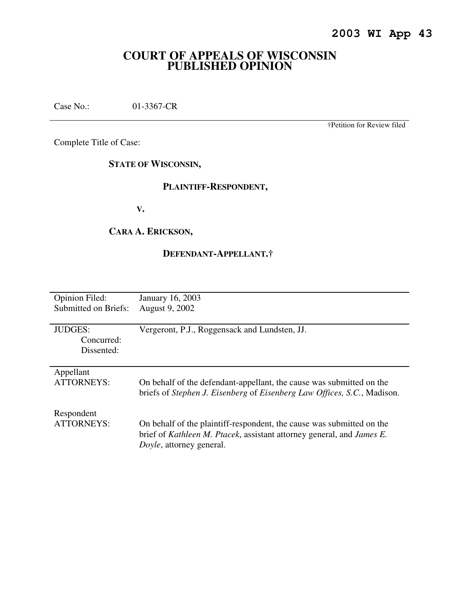# **COURT OF APPEALS OF WISCONSIN PUBLISHED OPINION**

Case No.: 01-3367-CR

†Petition for Review filed

Complete Title of Case:

**STATE OF WISCONSIN,** 

# **PLAINTIFF-RESPONDENT,**

 **V.** 

# **CARA A. ERICKSON,**

# **DEFENDANT-APPELLANT.†**

| <b>Opinion Filed:</b> | January 16, 2003                                                        |
|-----------------------|-------------------------------------------------------------------------|
| Submitted on Briefs:  | August 9, 2002                                                          |
|                       |                                                                         |
| <b>JUDGES:</b>        | Vergeront, P.J., Roggensack and Lundsten, JJ.                           |
| Concurred:            |                                                                         |
| Dissented:            |                                                                         |
|                       |                                                                         |
| Appellant             |                                                                         |
| <b>ATTORNEYS:</b>     | On behalf of the defendant-appellant, the cause was submitted on the    |
|                       | briefs of Stephen J. Eisenberg of Eisenberg Law Offices, S.C., Madison. |
|                       |                                                                         |
| Respondent            |                                                                         |
| <b>ATTORNEYS:</b>     | On behalf of the plaintiff-respondent, the cause was submitted on the   |
|                       | brief of Kathleen M. Ptacek, assistant attorney general, and James E.   |
|                       | Doyle, attorney general.                                                |
|                       |                                                                         |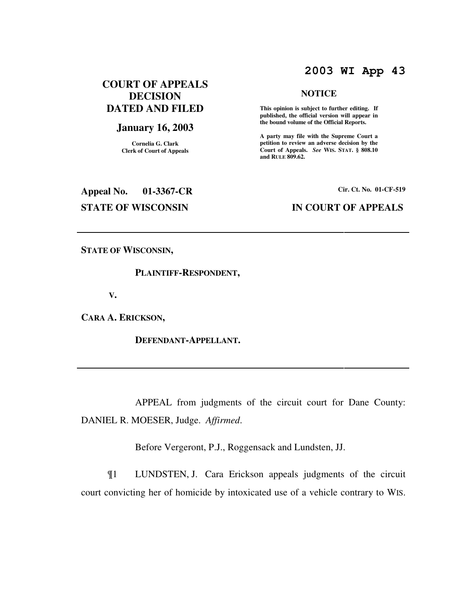# **2003 WI App 43**

**NOTICE** 

 **This opinion is subject to further editing. If published, the official version will appear in the bound volume of the Official Reports. A party may file with the Supreme Court a petition to review an adverse decision by the Court of Appeals.** *See* **WIS. STAT. § 808.10** 

**and RULE 809.62.** 

# **COURT OF APPEALS DECISION DATED AND FILED**

# **January 16, 2003**

**Cornelia G. Clark Clerk of Court of Appeals**

# **Appeal No. 01-3367-CR Cir. Ct. No. 01-CF-519**

### **STATE OF WISCONSIN IN COURT OF APPEALS**

**STATE OF WISCONSIN,** 

### **PLAINTIFF-RESPONDENT,**

 **V.** 

**CARA A. ERICKSON,** 

 **DEFENDANT-APPELLANT.** 

 APPEAL from judgments of the circuit court for Dane County: DANIEL R. MOESER, Judge. *Affirmed*.

Before Vergeront, P.J., Roggensack and Lundsten, JJ.

¶1 LUNDSTEN, J. Cara Erickson appeals judgments of the circuit court convicting her of homicide by intoxicated use of a vehicle contrary to WIS.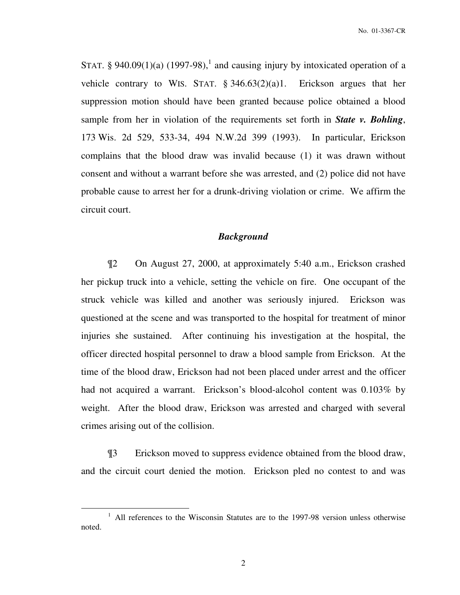STAT. § 940.09(1)(a) (1997-98),<sup>1</sup> and causing injury by intoxicated operation of a vehicle contrary to WIS. STAT. § 346.63(2)(a)1. Erickson argues that her suppression motion should have been granted because police obtained a blood sample from her in violation of the requirements set forth in *State v. Bohling*, 173 Wis. 2d 529, 533-34, 494 N.W.2d 399 (1993). In particular, Erickson complains that the blood draw was invalid because (1) it was drawn without consent and without a warrant before she was arrested, and (2) police did not have probable cause to arrest her for a drunk-driving violation or crime. We affirm the circuit court.

### *Background*

¶2 On August 27, 2000, at approximately 5:40 a.m., Erickson crashed her pickup truck into a vehicle, setting the vehicle on fire. One occupant of the struck vehicle was killed and another was seriously injured. Erickson was questioned at the scene and was transported to the hospital for treatment of minor injuries she sustained. After continuing his investigation at the hospital, the officer directed hospital personnel to draw a blood sample from Erickson. At the time of the blood draw, Erickson had not been placed under arrest and the officer had not acquired a warrant. Erickson's blood-alcohol content was 0.103% by weight. After the blood draw, Erickson was arrested and charged with several crimes arising out of the collision.

¶3 Erickson moved to suppress evidence obtained from the blood draw, and the circuit court denied the motion. Erickson pled no contest to and was

 $\overline{a}$ 

<sup>&</sup>lt;sup>1</sup> All references to the Wisconsin Statutes are to the 1997-98 version unless otherwise noted.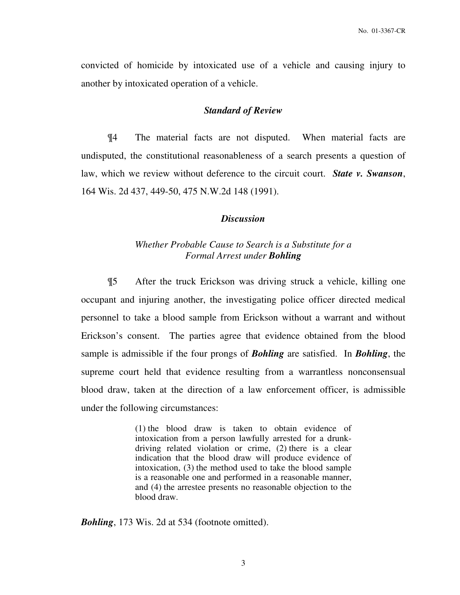convicted of homicide by intoxicated use of a vehicle and causing injury to another by intoxicated operation of a vehicle.

### *Standard of Review*

¶4 The material facts are not disputed. When material facts are undisputed, the constitutional reasonableness of a search presents a question of law, which we review without deference to the circuit court. *State v. Swanson*, 164 Wis. 2d 437, 449-50, 475 N.W.2d 148 (1991).

### *Discussion*

### *Whether Probable Cause to Search is a Substitute for a Formal Arrest under Bohling*

¶5 After the truck Erickson was driving struck a vehicle, killing one occupant and injuring another, the investigating police officer directed medical personnel to take a blood sample from Erickson without a warrant and without Erickson's consent. The parties agree that evidence obtained from the blood sample is admissible if the four prongs of *Bohling* are satisfied. In *Bohling*, the supreme court held that evidence resulting from a warrantless nonconsensual blood draw, taken at the direction of a law enforcement officer, is admissible under the following circumstances:

> (1) the blood draw is taken to obtain evidence of intoxication from a person lawfully arrested for a drunkdriving related violation or crime, (2) there is a clear indication that the blood draw will produce evidence of intoxication, (3) the method used to take the blood sample is a reasonable one and performed in a reasonable manner, and (4) the arrestee presents no reasonable objection to the blood draw.

*Bohling*, 173 Wis. 2d at 534 (footnote omitted).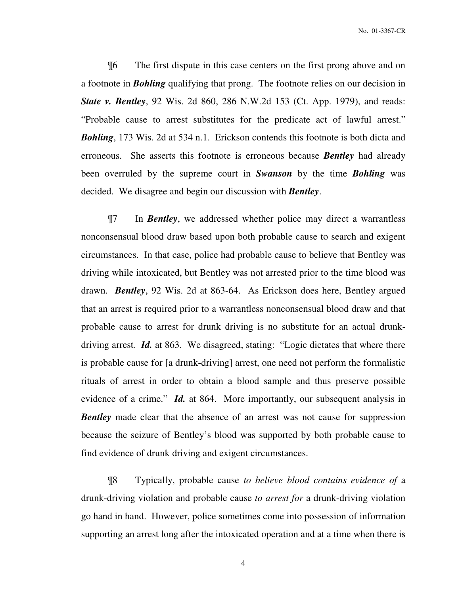No. 01-3367-CR

¶6 The first dispute in this case centers on the first prong above and on a footnote in *Bohling* qualifying that prong. The footnote relies on our decision in *State v. Bentley*, 92 Wis. 2d 860, 286 N.W.2d 153 (Ct. App. 1979), and reads: "Probable cause to arrest substitutes for the predicate act of lawful arrest." *Bohling*, 173 Wis. 2d at 534 n.1. Erickson contends this footnote is both dicta and erroneous. She asserts this footnote is erroneous because *Bentley* had already been overruled by the supreme court in *Swanson* by the time *Bohling* was decided. We disagree and begin our discussion with *Bentley*.

¶7 In *Bentley*, we addressed whether police may direct a warrantless nonconsensual blood draw based upon both probable cause to search and exigent circumstances. In that case, police had probable cause to believe that Bentley was driving while intoxicated, but Bentley was not arrested prior to the time blood was drawn. *Bentley*, 92 Wis. 2d at 863-64. As Erickson does here, Bentley argued that an arrest is required prior to a warrantless nonconsensual blood draw and that probable cause to arrest for drunk driving is no substitute for an actual drunkdriving arrest. *Id.* at 863. We disagreed, stating: "Logic dictates that where there is probable cause for [a drunk-driving] arrest, one need not perform the formalistic rituals of arrest in order to obtain a blood sample and thus preserve possible evidence of a crime." *Id.* at 864. More importantly, our subsequent analysis in *Bentley* made clear that the absence of an arrest was not cause for suppression because the seizure of Bentley's blood was supported by both probable cause to find evidence of drunk driving and exigent circumstances.

¶8 Typically, probable cause *to believe blood contains evidence of* a drunk-driving violation and probable cause *to arrest for* a drunk-driving violation go hand in hand. However, police sometimes come into possession of information supporting an arrest long after the intoxicated operation and at a time when there is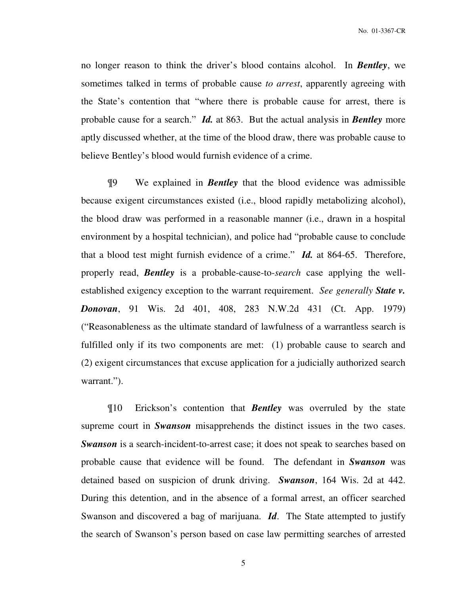no longer reason to think the driver's blood contains alcohol. In *Bentley*, we sometimes talked in terms of probable cause *to arrest*, apparently agreeing with the State's contention that "where there is probable cause for arrest, there is probable cause for a search." *Id.* at 863. But the actual analysis in *Bentley* more aptly discussed whether, at the time of the blood draw, there was probable cause to believe Bentley's blood would furnish evidence of a crime.

¶9 We explained in *Bentley* that the blood evidence was admissible because exigent circumstances existed (i.e., blood rapidly metabolizing alcohol), the blood draw was performed in a reasonable manner (i.e., drawn in a hospital environment by a hospital technician), and police had "probable cause to conclude that a blood test might furnish evidence of a crime." *Id.* at 864-65. Therefore, properly read, *Bentley* is a probable-cause-to-*search* case applying the wellestablished exigency exception to the warrant requirement. *See generally State v. Donovan*, 91 Wis. 2d 401, 408, 283 N.W.2d 431 (Ct. App. 1979) ("Reasonableness as the ultimate standard of lawfulness of a warrantless search is fulfilled only if its two components are met: (1) probable cause to search and (2) exigent circumstances that excuse application for a judicially authorized search warrant.").

¶10 Erickson's contention that *Bentley* was overruled by the state supreme court in *Swanson* misapprehends the distinct issues in the two cases. *Swanson* is a search-incident-to-arrest case; it does not speak to searches based on probable cause that evidence will be found. The defendant in *Swanson* was detained based on suspicion of drunk driving. *Swanson*, 164 Wis. 2d at 442. During this detention, and in the absence of a formal arrest, an officer searched Swanson and discovered a bag of marijuana. *Id*. The State attempted to justify the search of Swanson's person based on case law permitting searches of arrested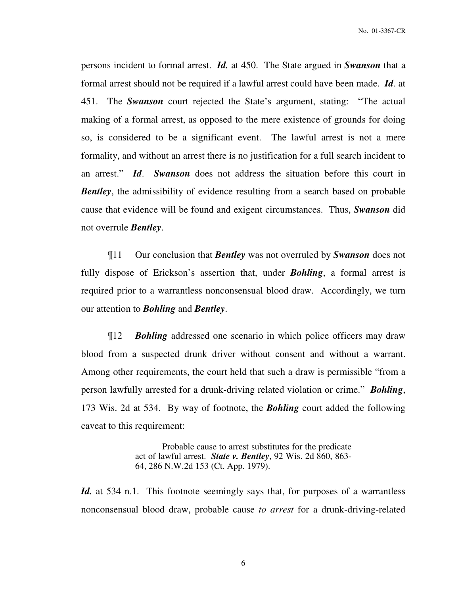persons incident to formal arrest. *Id.* at 450. The State argued in *Swanson* that a formal arrest should not be required if a lawful arrest could have been made. *Id*. at 451. The *Swanson* court rejected the State's argument, stating: "The actual making of a formal arrest, as opposed to the mere existence of grounds for doing so, is considered to be a significant event. The lawful arrest is not a mere formality, and without an arrest there is no justification for a full search incident to an arrest." *Id*. *Swanson* does not address the situation before this court in *Bentley*, the admissibility of evidence resulting from a search based on probable cause that evidence will be found and exigent circumstances. Thus, *Swanson* did not overrule *Bentley*.

¶11 Our conclusion that *Bentley* was not overruled by *Swanson* does not fully dispose of Erickson's assertion that, under *Bohling*, a formal arrest is required prior to a warrantless nonconsensual blood draw. Accordingly, we turn our attention to *Bohling* and *Bentley*.

¶12 *Bohling* addressed one scenario in which police officers may draw blood from a suspected drunk driver without consent and without a warrant. Among other requirements, the court held that such a draw is permissible "from a person lawfully arrested for a drunk-driving related violation or crime." *Bohling*, 173 Wis. 2d at 534. By way of footnote, the *Bohling* court added the following caveat to this requirement:

> Probable cause to arrest substitutes for the predicate act of lawful arrest. *State v. Bentley*, 92 Wis. 2d 860, 863- 64, 286 N.W.2d 153 (Ct. App. 1979).

*Id.* at 534 n.1. This footnote seemingly says that, for purposes of a warrantless nonconsensual blood draw, probable cause *to arrest* for a drunk-driving-related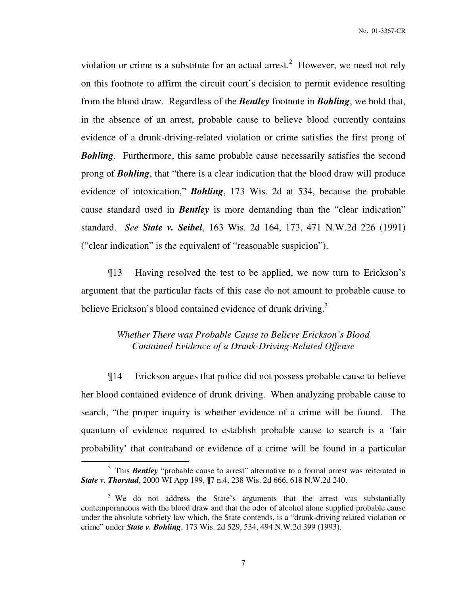violation or crime is a substitute for an actual arrest.<sup>2</sup> However, we need not rely on this footnote to affirm the circuit court's decision to permit evidence resulting from the blood draw. Regardless of the *Bentley* footnote in *Bohling*, we hold that, in the absence of an arrest, probable cause to believe blood currently contains evidence of a drunk-driving-related violation or crime satisfies the first prong of *Bohling*. Furthermore, this same probable cause necessarily satisfies the second prong of *Bohling*, that "there is a clear indication that the blood draw will produce evidence of intoxication," *Bohling*, 173 Wis. 2d at 534, because the probable cause standard used in *Bentley* is more demanding than the "clear indication" standard. *See State v. Seibel*, 163 Wis. 2d 164, 173, 471 N.W.2d 226 (1991) ("clear indication" is the equivalent of "reasonable suspicion").

¶13 Having resolved the test to be applied, we now turn to Erickson's argument that the particular facts of this case do not amount to probable cause to believe Erickson's blood contained evidence of drunk driving.<sup>3</sup>

# *Whether There was Probable Cause to Believe Erickson's Blood Contained Evidence of a Drunk-Driving-Related Offense*

¶14 Erickson argues that police did not possess probable cause to believe her blood contained evidence of drunk driving. When analyzing probable cause to search, "the proper inquiry is whether evidence of a crime will be found. The quantum of evidence required to establish probable cause to search is a 'fair probability' that contraband or evidence of a crime will be found in a particular

 $\overline{a}$ 

<sup>&</sup>lt;sup>2</sup> This **Bentley** "probable cause to arrest" alternative to a formal arrest was reiterated in *State v. Thorstad*, 2000 WI App 199, ¶7 n.4, 238 Wis. 2d 666, 618 N.W.2d 240.

<sup>&</sup>lt;sup>3</sup> We do not address the State's arguments that the arrest was substantially contemporaneous with the blood draw and that the odor of alcohol alone supplied probable cause under the absolute sobriety law which, the State contends, is a "drunk-driving related violation or crime" under *State v. Bohling*, 173 Wis. 2d 529, 534, 494 N.W.2d 399 (1993).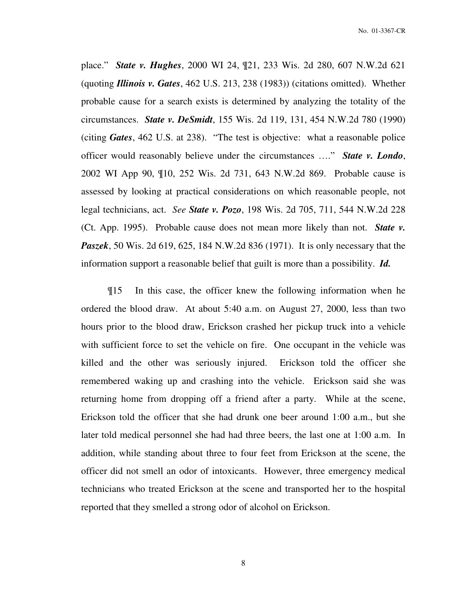place." *State v. Hughes*, 2000 WI 24, ¶21, 233 Wis. 2d 280, 607 N.W.2d 621 (quoting *Illinois v. Gates*, 462 U.S. 213, 238 (1983)) (citations omitted). Whether probable cause for a search exists is determined by analyzing the totality of the circumstances. *State v. DeSmidt*, 155 Wis. 2d 119, 131, 454 N.W.2d 780 (1990) (citing *Gates*, 462 U.S. at 238). "The test is objective: what a reasonable police officer would reasonably believe under the circumstances …." *State v. Londo*, 2002 WI App 90, ¶10, 252 Wis. 2d 731, 643 N.W.2d 869. Probable cause is assessed by looking at practical considerations on which reasonable people, not legal technicians, act. *See State v. Pozo*, 198 Wis. 2d 705, 711, 544 N.W.2d 228 (Ct. App. 1995). Probable cause does not mean more likely than not. *State v. Paszek*, 50 Wis. 2d 619, 625, 184 N.W.2d 836 (1971). It is only necessary that the information support a reasonable belief that guilt is more than a possibility. *Id.*

¶15 In this case, the officer knew the following information when he ordered the blood draw. At about 5:40 a.m. on August 27, 2000, less than two hours prior to the blood draw, Erickson crashed her pickup truck into a vehicle with sufficient force to set the vehicle on fire. One occupant in the vehicle was killed and the other was seriously injured. Erickson told the officer she remembered waking up and crashing into the vehicle. Erickson said she was returning home from dropping off a friend after a party. While at the scene, Erickson told the officer that she had drunk one beer around 1:00 a.m., but she later told medical personnel she had had three beers, the last one at 1:00 a.m. In addition, while standing about three to four feet from Erickson at the scene, the officer did not smell an odor of intoxicants. However, three emergency medical technicians who treated Erickson at the scene and transported her to the hospital reported that they smelled a strong odor of alcohol on Erickson.